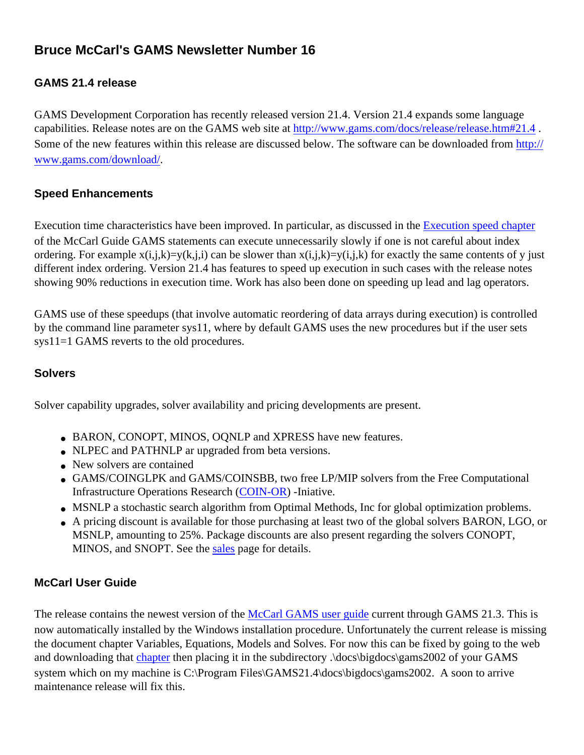# **Bruce McCarl's GAMS Newsletter Number 16**

## **GAMS 21.4 release**

GAMS Development Corporation has recently released version 21.4. Version 21.4 expands some language capabilities. Release notes are on the GAMS web site at http://www.gams.com/docs/release/release.htm#21.4. Some of the new features within this release are discussed below. The software can be downloaded from [http://](http://www.gams.com/download/) [www.gams.com/download/.](http://www.gams.com/download/)

#### **Speed Enhancements**

Execution time characteristics have been improved. In particular, as discussed in the [Execution speed chapter](http://www.gams.com/dd/docs/bigdocs/gams2002/speed.pdf) of the McCarl Guide GAMS statements can execute unnecessarily slowly if one is not careful about index ordering. For example  $x(i,j,k)=y(k,j,i)$  can be slower than  $x(i,j,k)=y(i,j,k)$  for exactly the same contents of y just different index ordering. Version 21.4 has features to speed up execution in such cases with the release notes showing 90% reductions in execution time. Work has also been done on speeding up lead and lag operators.

GAMS use of these speedups (that involve automatic reordering of data arrays during execution) is controlled by the command line parameter sys11, where by default GAMS uses the new procedures but if the user sets sys11=1 GAMS reverts to the old procedures.

#### **Solvers**

Solver capability upgrades, solver availability and pricing developments are present.

- BARON, CONOPT, MINOS, OQNLP and XPRESS have new features.
- NLPEC and PATHNLP ar upgraded from beta versions.
- New solvers are contained
- GAMS/COINGLPK and GAMS/COINSBB, two free LP/MIP solvers from the Free Computational Infrastructure Operations Research ([COIN-OR\)](http://www-124.ibm.com/developerworks/opensource/coin/) -Iniative.
- MSNLP a stochastic search algorithm from Optimal Methods, Inc for global optimization problems.
- A pricing discount is available for those purchasing at least two of the global solvers BARON, LGO, or MSNLP, amounting to 25%. Package discounts are also present regarding the solvers CONOPT, MINOS, and SNOPT. See the [sales](http://www.gams.com/sales/sales.htm) page for details.

## **McCarl User Guide**

The release contains the newest version of the [McCarl GAMS user guide](http://www.gams.com/dd/docs/bigdocs/gams2002/) current through GAMS 21.3. This is now automatically installed by the Windows installation procedure. Unfortunately the current release is missing the document chapter Variables, Equations, Models and Solves. For now this can be fixed by going to the web and downloading that [chapter](http://www.gams.com/dd/docs/bigdocs/gams2002/variables_equations_models_and_solves.pdf) then placing it in the subdirectory .\docs\bigdocs\gams2002 of your GAMS system which on my machine is C:\Program Files\GAMS21.4\docs\bigdocs\gams2002. A soon to arrive maintenance release will fix this.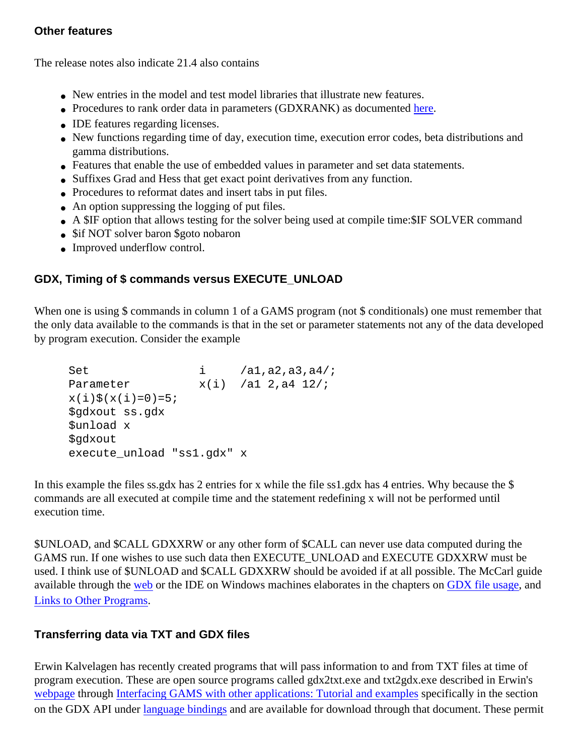#### **Other features**

The release notes also indicate 21.4 also contains

- New entries in the model and test model libraries that illustrate new features.
- Procedures to rank order data in parameters (GDXRANK) as documented [here.](http://debreu.colorado.edu/gdxrank/)
- IDE features regarding licenses.
- New functions regarding time of day, execution time, execution error codes, beta distributions and gamma distributions.
- Features that enable the use of embedded values in parameter and set data statements.
- Suffixes Grad and Hess that get exact point derivatives from any function.
- Procedures to reformat dates and insert tabs in put files.
- An option suppressing the logging of put files.
- A \$IF option that allows testing for the solver being used at compile time: \$IF SOLVER command
- \$if NOT solver baron \$goto nobaron
- Improved underflow control.

# **GDX, Timing of \$ commands versus EXECUTE\_UNLOAD**

When one is using \$ commands in column 1 of a GAMS program (not \$ conditionals) one must remember that the only data available to the commands is that in the set or parameter statements not any of the data developed by program execution. Consider the example

```
Set i /al,a2,a3,a4/;
Parameter x(i) /al 2, a4 12/;
x(i)(x(i)=0)=5; $gdxout ss.gdx
 $unload x
 $gdxout
 execute_unload "ss1.gdx" x
```
In this example the files ss.gdx has 2 entries for x while the file ss1.gdx has 4 entries. Why because the \$ commands are all executed at compile time and the statement redefining x will not be performed until execution time.

\$UNLOAD, and \$CALL GDXXRW or any other form of \$CALL can never use data computed during the GAMS run. If one wishes to use such data then EXECUTE\_UNLOAD and EXECUTE GDXXRW must be used. I think use of \$UNLOAD and \$CALL GDXXRW should be avoided if at all possible. The McCarl guide available through the [web](http://www.gams.com/dd/docs/bigdocs/gams2002/linkingtoother.pdf) or the IDE on Windows machines elaborates in the chapters on [GDX file usage](http://www.gams.com/dd/docs/bigdocs/gams2002/gdxusage.pdf), and [Links to Other Programs.](http://www.gams.com/dd/docs/bigdocs/gams2002/linkingtoother.pdf)

## **Transferring data via TXT and GDX files**

Erwin Kalvelagen has recently created programs that will pass information to and from TXT files at time of program execution. These are open source programs called gdx2txt.exe and txt2gdx.exe described in Erwin's [webpage](http://www.gams.com/~erwin/) through [Interfacing GAMS with other applications: Tutorial and examples](http://www.gams.com/~erwin/interface/interface.html) specifically in the section on the GDX API under [language bindings](http://www.gams.com/~erwin/interface/interface.html#4.3_Language_Bindings) and are available for download through that document. These permit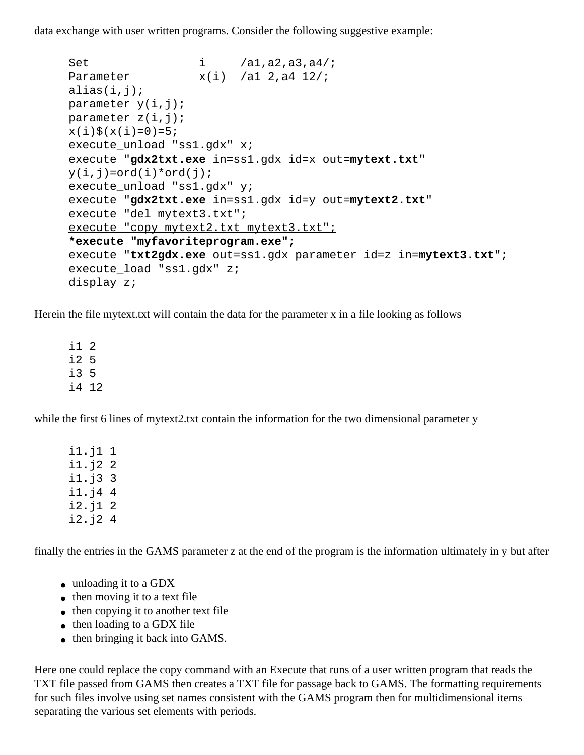data exchange with user written programs. Consider the following suggestive example:

```
Set i /a1,a2,a3,a4/;
Parameter x(i) /al 2, a4 12/;
alias(i,j);parameter y(i,j);
 parameter z(i,j);
x(i)\zeta(x(i)=0)=5; execute_unload "ss1.gdx" x;
 execute "gdx2txt.exe in=ss1.gdx id=x out=mytext.txt"
y(i,j)=ord(i)*ord(j); execute_unload "ss1.gdx" y;
 execute "gdx2txt.exe in=ss1.gdx id=y out=mytext2.txt"
 execute "del mytext3.txt";
 execute "copy mytext2.txt mytext3.txt";
 *execute "myfavoriteprogram.exe";
 execute "txt2gdx.exe out=ss1.gdx parameter id=z in=mytext3.txt";
execute load "ss1.gdx" z;
 display z;
```
Herein the file mytext.txt will contain the data for the parameter x in a file looking as follows

 i1 2 i2 5 i3 5 i4 12

while the first 6 lines of mytext2.txt contain the information for the two dimensional parameter y

 i1.j1 1 i1.j2 2 i1.j3 3 i1.j4 4 i2.j1 2 i2.j2 4

finally the entries in the GAMS parameter z at the end of the program is the information ultimately in y but after

- unloading it to a GDX
- then moving it to a text file
- then copying it to another text file
- then loading to a GDX file
- then bringing it back into GAMS.

Here one could replace the copy command with an Execute that runs of a user written program that reads the TXT file passed from GAMS then creates a TXT file for passage back to GAMS. The formatting requirements for such files involve using set names consistent with the GAMS program then for multidimensional items separating the various set elements with periods.